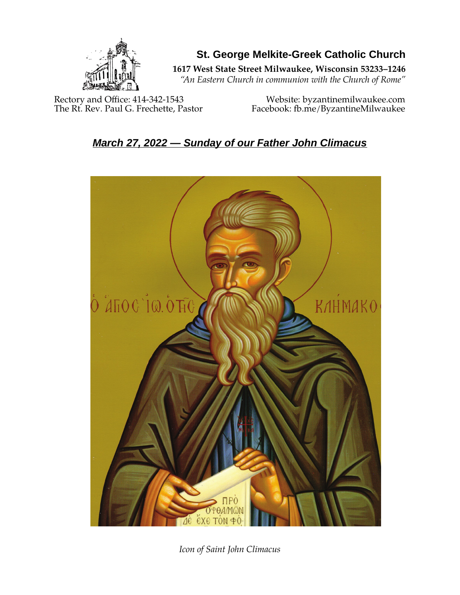

**St. George Melkite-Greek Catholic Church**

**1617 West State Street Milwaukee, Wisconsin 53233–1246**

*"An Eastern Church in communion with the Church of Rome"*

Rectory and Office: 414-342-1543 Website: [byzantinemilwaukee.com](https://byzantinemilwaukee.com/)

The Rt. Rev. Paul G. Frechette, Pastor Facebook: fb.me/ByzantineMilwaukee

# *March 27, 2022 — Sunday of our Father John Climacus*



*Icon of Saint John Climacus*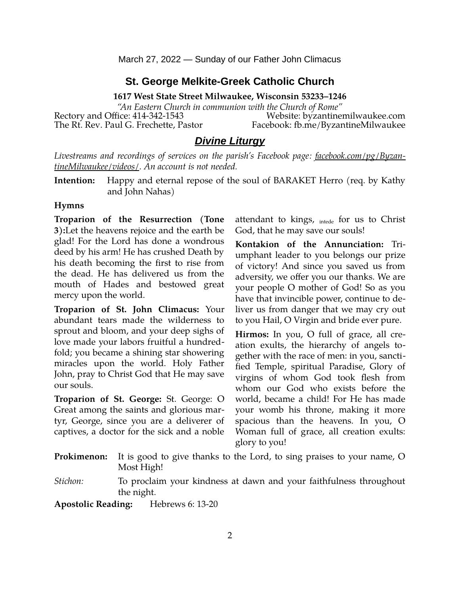March 27, 2022 — Sunday of our Father John Climacus

#### **St. George Melkite-Greek Catholic Church**

**1617 West State Street Milwaukee, Wisconsin 53233–1246**

*"An Eastern Church in communion with the Church of Rome"* Rectory and Office: 414-342-1543 Website: [byzantinemilwaukee.com](https://byzantinemilwaukee.com/) The Rt. Rev. Paul G. Frechette, Pastor Facebook: fb.me/ByzantineMilwaukee

#### *Divine Liturgy*

*Livestreams and recordings of services on the parish's Facebook page: [facebook.com/pg/Byzan](https://www.facebook.com/pg/ByzantineMilwaukee/videos/)[tineMilwaukee/videos/.](https://www.facebook.com/pg/ByzantineMilwaukee/videos/) An account is not needed.*

**Intention:** Happy and eternal repose of the soul of BARAKET Herro (req. by Kathy and John Nahas)

#### **Hymns**

**Troparion of the Resurrection (Tone 3):**Let the heavens rejoice and the earth be glad! For the Lord has done a wondrous deed by his arm! He has crushed Death by his death becoming the first to rise from the dead. He has delivered us from the mouth of Hades and bestowed great mercy upon the world.

**Troparion of St. John Climacus:** Your abundant tears made the wilderness to sprout and bloom, and your deep sighs of love made your labors fruitful a hundredfold; you became a shining star showering miracles upon the world. Holy Father John, pray to Christ God that He may save our souls.

**Troparion of St. George:** St. George: O Great among the saints and glorious martyr, George, since you are a deliverer of captives, a doctor for the sick and a noble attendant to kings,  $_{\text{intede}}$  for us to Christ God, that he may save our souls!

**Kontakion of the Annunciation:** Triumphant leader to you belongs our prize of victory! And since you saved us from adversity, we offer you our thanks. We are your people O mother of God! So as you have that invincible power, continue to deliver us from danger that we may cry out to you Hail, O Virgin and bride ever pure.

**Hirmos:** In you, O full of grace, all creation exults, the hierarchy of angels together with the race of men: in you, sanctified Temple, spiritual Paradise, Glory of virgins of whom God took flesh from whom our God who exists before the world, became a child! For He has made your womb his throne, making it more spacious than the heavens. In you, O Woman full of grace, all creation exults: glory to you!

| <b>Prokimenon:</b> It is good to give thanks to the Lord, to sing praises to your name, O |
|-------------------------------------------------------------------------------------------|
| Most High!                                                                                |

*Stichon:* To proclaim your kindness at dawn and your faithfulness throughout the night.

**Apostolic Reading:** Hebrews 6: 13-20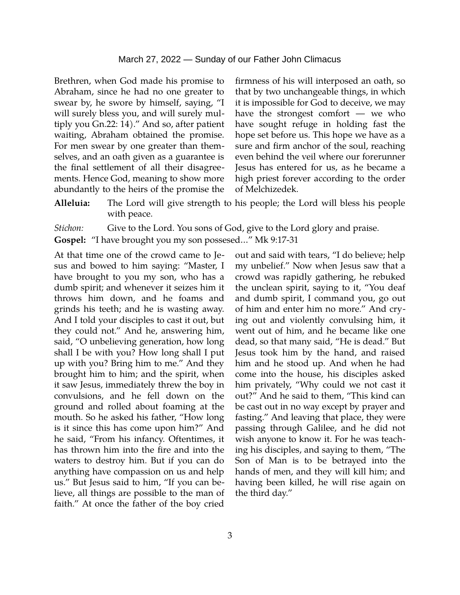#### March 27, 2022 — Sunday of our Father John Climacus

Brethren, when God made his promise to Abraham, since he had no one greater to swear by, he swore by himself, saying, "I will surely bless you, and will surely multiply you Gn.22: 14)." And so, after patient waiting, Abraham obtained the promise. For men swear by one greater than themselves, and an oath given as a guarantee is the final settlement of all their disagreements. Hence God, meaning to show more abundantly to the heirs of the promise the

firmness of his will interposed an oath, so that by two unchangeable things, in which it is impossible for God to deceive, we may have the strongest comfort ― we who have sought refuge in holding fast the hope set before us. This hope we have as a sure and firm anchor of the soul, reaching even behind the veil where our forerunner Jesus has entered for us, as he became a high priest forever according to the order of Melchizedek.

**Alleluia:** The Lord will give strength to his people; the Lord will bless his people with peace.

*Stichon:* Give to the Lord. You sons of God, give to the Lord glory and praise.

**Gospel:** "I have brought you my son possesed…" Mk 9:17-31

At that time one of the crowd came to Jesus and bowed to him saying: "Master, I have brought to you my son, who has a dumb spirit; and whenever it seizes him it throws him down, and he foams and grinds his teeth; and he is wasting away. And I told your disciples to cast it out, but they could not." And he, answering him, said, "O unbelieving generation, how long shall I be with you? How long shall I put up with you? Bring him to me." And they brought him to him; and the spirit, when it saw Jesus, immediately threw the boy in convulsions, and he fell down on the ground and rolled about foaming at the mouth. So he asked his father, "How long is it since this has come upon him?" And he said, "From his infancy. Oftentimes, it has thrown him into the fire and into the waters to destroy him. But if you can do anything have compassion on us and help us." But Jesus said to him, "If you can believe, all things are possible to the man of faith." At once the father of the boy cried

out and said with tears, "I do believe; help my unbelief." Now when Jesus saw that a crowd was rapidly gathering, he rebuked the unclean spirit, saying to it, "You deaf and dumb spirit, I command you, go out of him and enter him no more." And crying out and violently convulsing him, it went out of him, and he became like one dead, so that many said, "He is dead." But Jesus took him by the hand, and raised him and he stood up. And when he had come into the house, his disciples asked him privately, "Why could we not cast it out?" And he said to them, "This kind can be cast out in no way except by prayer and fasting." And leaving that place, they were passing through Galilee, and he did not wish anyone to know it. For he was teaching his disciples, and saying to them, "The Son of Man is to be betrayed into the hands of men, and they will kill him; and having been killed, he will rise again on the third day."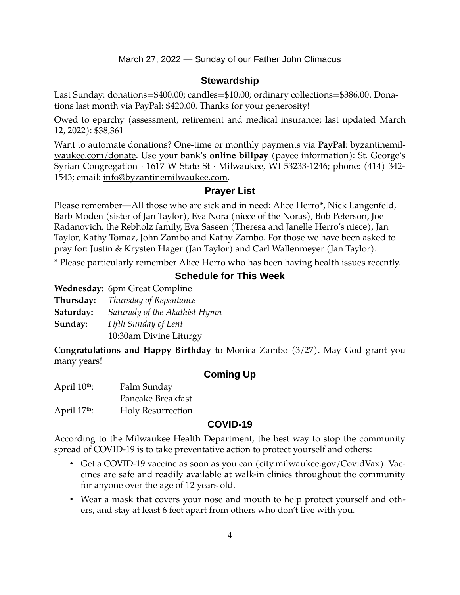March 27, 2022 — Sunday of our Father John Climacus

## **Stewardship**

Last Sunday: donations=\$400.00; candles=\$10.00; ordinary collections=\$386.00. Donations last month via PayPal: \$420.00. Thanks for your generosity!

Owed to eparchy (assessment, retirement and medical insurance; last updated March 12, 2022): \$38,361

Want to automate donations? One-time or monthly payments via **PayPal**: [byzantinemil](https://byzantinemilwaukee.com/donate/)[waukee.com/donate.](https://byzantinemilwaukee.com/donate/) Use your bank's **online billpay** (payee information): St. George's Syrian Congregation · 1617 W State St · Milwaukee, WI 53233-1246; phone: (414) 342- 1543; email: [info@byzantinemilwaukee.com](mailto:info@byzantinemilwaukee.com).

## **Prayer List**

Please remember—All those who are sick and in need: Alice Herro\*, Nick Langenfeld, Barb Moden (sister of Jan Taylor), Eva Nora (niece of the Noras), Bob Peterson, Joe Radanovich, the Rebholz family, Eva Saseen (Theresa and Janelle Herro's niece), Jan Taylor, Kathy Tomaz, John Zambo and Kathy Zambo. For those we have been asked to pray for: Justin & Krysten Hager (Jan Taylor) and Carl Wallenmeyer (Jan Taylor).

\* Please particularly remember Alice Herro who has been having health issues recently.

# **Schedule for This Week**

|           | Wednesday: 6pm Great Compline |
|-----------|-------------------------------|
| Thursday: | Thursday of Repentance        |
| Saturday: | Saturady of the Akathist Hymn |
| Sunday:   | Fifth Sunday of Lent          |
|           | 10:30am Divine Liturgy        |

**Congratulations and Happy Birthday** to Monica Zambo (3/27). May God grant you many years!

## **Coming Up**

| April 10 <sup>th</sup> : | Palm Sunday              |
|--------------------------|--------------------------|
|                          | Pancake Breakfast        |
| April $17th$ :           | <b>Holy Resurrection</b> |

#### **[COVID-19](mailto:j1ordan2000@yahoo.com)**

According to the Milwaukee Health Department, the best way to stop the community spread of COVID-19 is to take preventative action to protect yourself and others:

- Get a COVID-19 vaccine as soon as you can [\(city.milwaukee.gov/CovidVax\)](https://city.milwaukee.gov/CovidVax). Vaccines are safe and readily available at walk-in clinics throughout the community for anyone over the age of 12 years old.
- Wear a mask that covers your nose and mouth to help protect yourself and others, and stay at least 6 feet apart from others who don't live with you.